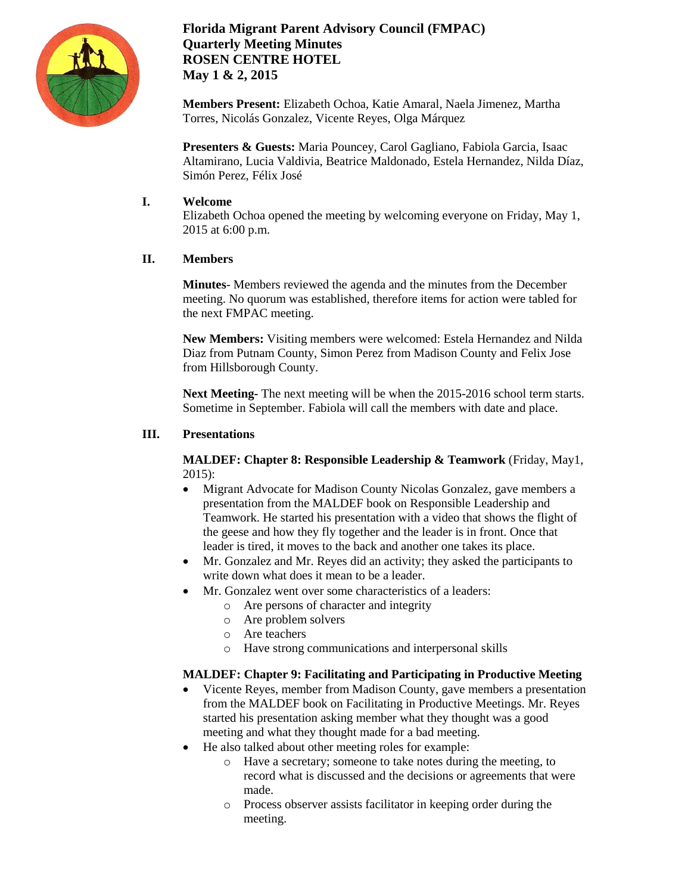

# **Florida Migrant Parent Advisory Council (FMPAC) Quarterly Meeting Minutes ROSEN CENTRE HOTEL May 1 & 2, 2015**

**Members Present:** Elizabeth Ochoa, Katie Amaral, Naela Jimenez, Martha Torres, Nicolás Gonzalez, Vicente Reyes, Olga Márquez

**Presenters & Guests:** Maria Pouncey, Carol Gagliano, Fabiola Garcia, Isaac Altamirano, Lucia Valdivia, Beatrice Maldonado, Estela Hernandez, Nilda Díaz, Simón Perez, Félix José

## **I. Welcome**

Elizabeth Ochoa opened the meeting by welcoming everyone on Friday, May 1, 2015 at 6:00 p.m.

### **II. Members**

**Minutes**- Members reviewed the agenda and the minutes from the December meeting. No quorum was established, therefore items for action were tabled for the next FMPAC meeting.

**New Members:** Visiting members were welcomed: Estela Hernandez and Nilda Diaz from Putnam County, Simon Perez from Madison County and Felix Jose from Hillsborough County.

**Next Meeting-** The next meeting will be when the 2015-2016 school term starts. Sometime in September. Fabiola will call the members with date and place.

### **III. Presentations**

**MALDEF: Chapter 8: Responsible Leadership & Teamwork** (Friday, May1, 2015):

- Migrant Advocate for Madison County Nicolas Gonzalez, gave members a presentation from the MALDEF book on Responsible Leadership and Teamwork. He started his presentation with a video that shows the flight of the geese and how they fly together and the leader is in front. Once that leader is tired, it moves to the back and another one takes its place.
- Mr. Gonzalez and Mr. Reyes did an activity; they asked the participants to write down what does it mean to be a leader.
- Mr. Gonzalez went over some characteristics of a leaders:
	- o Are persons of character and integrity
	- o Are problem solvers
	- o Are teachers
	- o Have strong communications and interpersonal skills

## **MALDEF: Chapter 9: Facilitating and Participating in Productive Meeting**

- Vicente Reyes, member from Madison County, gave members a presentation from the MALDEF book on Facilitating in Productive Meetings. Mr. Reyes started his presentation asking member what they thought was a good meeting and what they thought made for a bad meeting.
- He also talked about other meeting roles for example:
	- o Have a secretary; someone to take notes during the meeting, to record what is discussed and the decisions or agreements that were made.
	- o Process observer assists facilitator in keeping order during the meeting.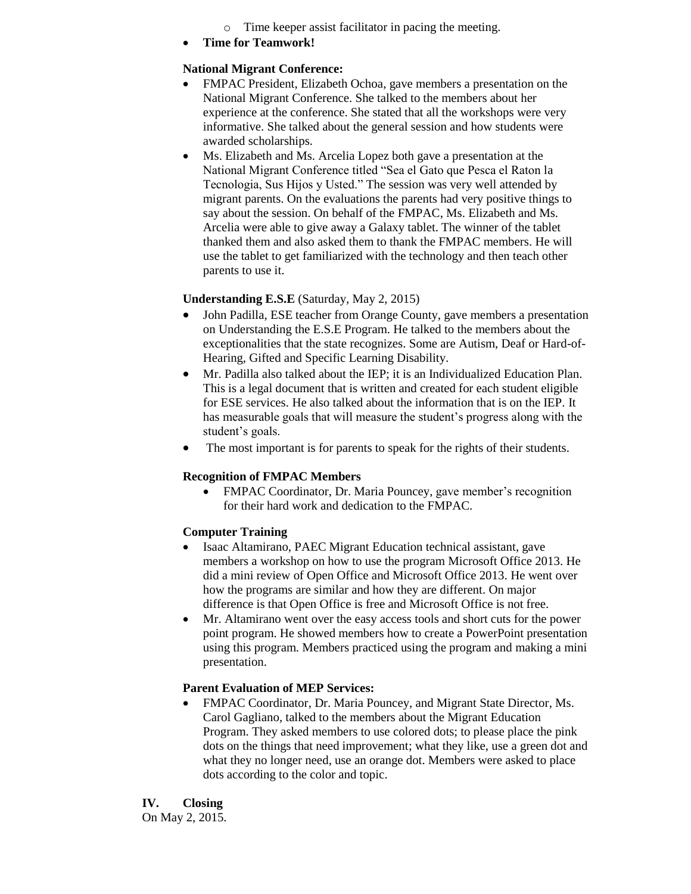- o Time keeper assist facilitator in pacing the meeting.
- **Time for Teamwork!**

### **National Migrant Conference:**

- FMPAC President, Elizabeth Ochoa, gave members a presentation on the National Migrant Conference. She talked to the members about her experience at the conference. She stated that all the workshops were very informative. She talked about the general session and how students were awarded scholarships.
- Ms. Elizabeth and Ms. Arcelia Lopez both gave a presentation at the National Migrant Conference titled "Sea el Gato que Pesca el Raton la Tecnologia, Sus Hijos y Usted." The session was very well attended by migrant parents. On the evaluations the parents had very positive things to say about the session. On behalf of the FMPAC, Ms. Elizabeth and Ms. Arcelia were able to give away a Galaxy tablet. The winner of the tablet thanked them and also asked them to thank the FMPAC members. He will use the tablet to get familiarized with the technology and then teach other parents to use it.

### **Understanding E.S.E** (Saturday, May 2, 2015)

- John Padilla, ESE teacher from Orange County, gave members a presentation on Understanding the E.S.E Program. He talked to the members about the exceptionalities that the state recognizes. Some are Autism, Deaf or Hard-of-Hearing, Gifted and Specific Learning Disability.
- Mr. Padilla also talked about the IEP; it is an Individualized Education Plan. This is a legal document that is written and created for each student eligible for ESE services. He also talked about the information that is on the IEP. It has measurable goals that will measure the student's progress along with the student's goals.
- The most important is for parents to speak for the rights of their students.

#### **Recognition of FMPAC Members**

 FMPAC Coordinator, Dr. Maria Pouncey, gave member's recognition for their hard work and dedication to the FMPAC.

## **Computer Training**

- Isaac Altamirano, PAEC Migrant Education technical assistant, gave members a workshop on how to use the program Microsoft Office 2013. He did a mini review of Open Office and Microsoft Office 2013. He went over how the programs are similar and how they are different. On major difference is that Open Office is free and Microsoft Office is not free.
- Mr. Altamirano went over the easy access tools and short cuts for the power point program. He showed members how to create a PowerPoint presentation using this program. Members practiced using the program and making a mini presentation.

#### **Parent Evaluation of MEP Services:**

 FMPAC Coordinator, Dr. Maria Pouncey, and Migrant State Director, Ms. Carol Gagliano, talked to the members about the Migrant Education Program. They asked members to use colored dots; to please place the pink dots on the things that need improvement; what they like, use a green dot and what they no longer need, use an orange dot. Members were asked to place dots according to the color and topic.

**IV. Closing** On May 2, 2015.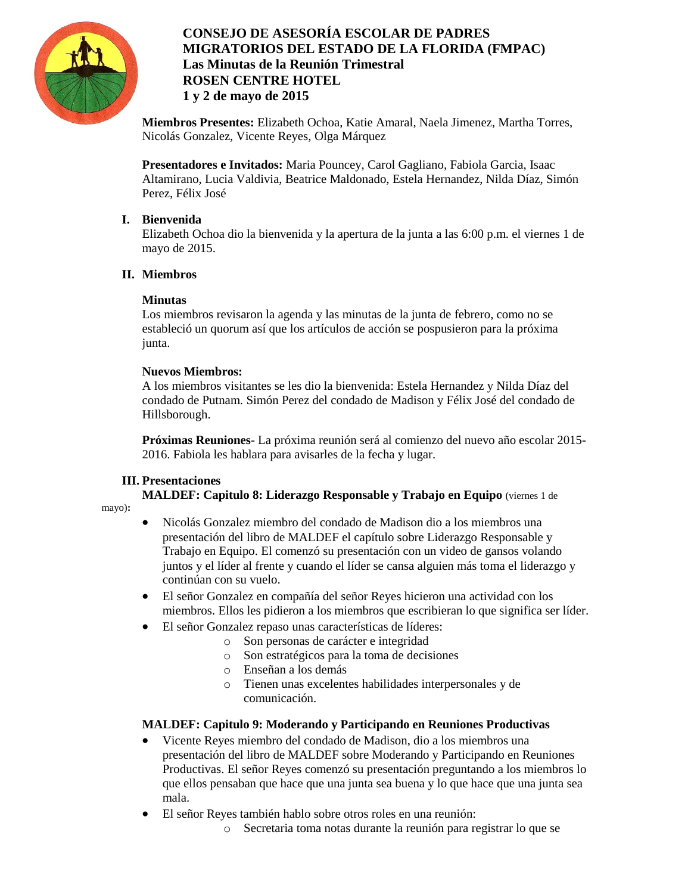

# **CONSEJO DE ASESORÍA ESCOLAR DE PADRES MIGRATORIOS DEL ESTADO DE LA FLORIDA (FMPAC) Las Minutas de la Reunión Trimestral ROSEN CENTRE HOTEL 1 y 2 de mayo de 2015**

**Miembros Presentes:** Elizabeth Ochoa, Katie Amaral, Naela Jimenez, Martha Torres, Nicolás Gonzalez, Vicente Reyes, Olga Márquez

**Presentadores e Invitados:** Maria Pouncey, Carol Gagliano, Fabiola Garcia, Isaac Altamirano, Lucia Valdivia, Beatrice Maldonado, Estela Hernandez, Nilda Díaz, Simón Perez, Félix José

## **I. Bienvenida**

Elizabeth Ochoa dio la bienvenida y la apertura de la junta a las 6:00 p.m. el viernes 1 de mayo de 2015.

## **II. Miembros**

# **Minutas**

Los miembros revisaron la agenda y las minutas de la junta de febrero, como no se estableció un quorum así que los artículos de acción se pospusieron para la próxima junta.

# **Nuevos Miembros:**

A los miembros visitantes se les dio la bienvenida: Estela Hernandez y Nilda Díaz del condado de Putnam. Simón Perez del condado de Madison y Félix José del condado de Hillsborough.

**Próximas Reuniones**- La próxima reunión será al comienzo del nuevo año escolar 2015- 2016. Fabiola les hablara para avisarles de la fecha y lugar.

# **III. Presentaciones**

**MALDEF: Capitulo 8: Liderazgo Responsable y Trabajo en Equipo** (viernes 1 de

mayo)**:**

- Nicolás Gonzalez miembro del condado de Madison dio a los miembros una presentación del libro de MALDEF el capítulo sobre Liderazgo Responsable y Trabajo en Equipo. El comenzó su presentación con un video de gansos volando juntos y el líder al frente y cuando el líder se cansa alguien más toma el liderazgo y continúan con su vuelo.
- El señor Gonzalez en compañía del señor Reyes hicieron una actividad con los miembros. Ellos les pidieron a los miembros que escribieran lo que significa ser líder.
- El señor Gonzalez repaso unas características de líderes:
	- o Son personas de carácter e integridad
	- o Son estratégicos para la toma de decisiones
	- o Enseñan a los demás
	- o Tienen unas excelentes habilidades interpersonales y de comunicación.

## **MALDEF: Capitulo 9: Moderando y Participando en Reuniones Productivas**

- Vicente Reyes miembro del condado de Madison, dio a los miembros una presentación del libro de MALDEF sobre Moderando y Participando en Reuniones Productivas. El señor Reyes comenzó su presentación preguntando a los miembros lo que ellos pensaban que hace que una junta sea buena y lo que hace que una junta sea mala.
- El señor Reyes también hablo sobre otros roles en una reunión:
	- o Secretaria toma notas durante la reunión para registrar lo que se